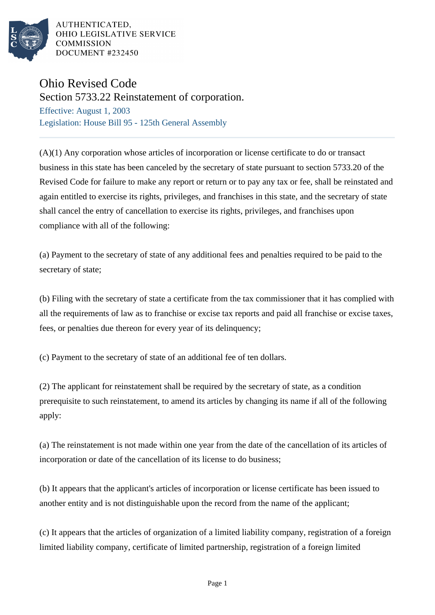

AUTHENTICATED. OHIO LEGISLATIVE SERVICE **COMMISSION** DOCUMENT #232450

## Ohio Revised Code

Section 5733.22 Reinstatement of corporation.

Effective: August 1, 2003 Legislation: House Bill 95 - 125th General Assembly

(A)(1) Any corporation whose articles of incorporation or license certificate to do or transact business in this state has been canceled by the secretary of state pursuant to section 5733.20 of the Revised Code for failure to make any report or return or to pay any tax or fee, shall be reinstated and again entitled to exercise its rights, privileges, and franchises in this state, and the secretary of state shall cancel the entry of cancellation to exercise its rights, privileges, and franchises upon compliance with all of the following:

(a) Payment to the secretary of state of any additional fees and penalties required to be paid to the secretary of state;

(b) Filing with the secretary of state a certificate from the tax commissioner that it has complied with all the requirements of law as to franchise or excise tax reports and paid all franchise or excise taxes, fees, or penalties due thereon for every year of its delinquency;

(c) Payment to the secretary of state of an additional fee of ten dollars.

(2) The applicant for reinstatement shall be required by the secretary of state, as a condition prerequisite to such reinstatement, to amend its articles by changing its name if all of the following apply:

(a) The reinstatement is not made within one year from the date of the cancellation of its articles of incorporation or date of the cancellation of its license to do business;

(b) It appears that the applicant's articles of incorporation or license certificate has been issued to another entity and is not distinguishable upon the record from the name of the applicant;

(c) It appears that the articles of organization of a limited liability company, registration of a foreign limited liability company, certificate of limited partnership, registration of a foreign limited